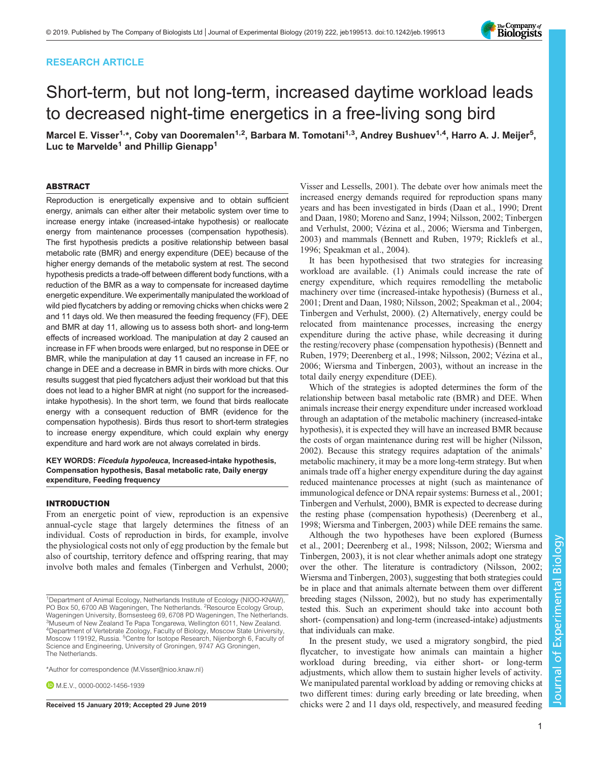# RESEARCH ARTICLE

# Short-term, but not long-term, increased daytime workload leads to decreased night-time energetics in a free-living song bird

Marcel E. Visser<sup>1,</sup>\*, Coby van Dooremalen<sup>1,2</sup>, Barbara M. Tomotani<sup>1,3</sup>, Andrey Bushuev<sup>1,4</sup>, Harro A. J. Meijer<sup>5</sup>, Luc te Marvelde<sup>1</sup> and Phillip Gienapp<sup>1</sup>

### ABSTRACT

Reproduction is energetically expensive and to obtain sufficient energy, animals can either alter their metabolic system over time to increase energy intake (increased-intake hypothesis) or reallocate energy from maintenance processes (compensation hypothesis). The first hypothesis predicts a positive relationship between basal metabolic rate (BMR) and energy expenditure (DEE) because of the higher energy demands of the metabolic system at rest. The second hypothesis predicts a trade-off between different body functions, with a reduction of the BMR as a way to compensate for increased daytime energetic expenditure. We experimentally manipulated the workload of wild pied flycatchers by adding or removing chicks when chicks were 2 and 11 days old. We then measured the feeding frequency (FF), DEE and BMR at day 11, allowing us to assess both short- and long-term effects of increased workload. The manipulation at day 2 caused an increase in FF when broods were enlarged, but no response in DEE or BMR, while the manipulation at day 11 caused an increase in FF, no change in DEE and a decrease in BMR in birds with more chicks. Our results suggest that pied flycatchers adjust their workload but that this does not lead to a higher BMR at night (no support for the increasedintake hypothesis). In the short term, we found that birds reallocate energy with a consequent reduction of BMR (evidence for the compensation hypothesis). Birds thus resort to short-term strategies to increase energy expenditure, which could explain why energy expenditure and hard work are not always correlated in birds.

## KEY WORDS: Ficedula hypoleuca, Increased-intake hypothesis, Compensation hypothesis, Basal metabolic rate, Daily energy expenditure, Feeding frequency

#### INTRODUCTION

From an energetic point of view, reproduction is an expensive annual-cycle stage that largely determines the fitness of an individual. Costs of reproduction in birds, for example, involve the physiological costs not only of egg production by the female but also of courtship, territory defence and offspring rearing, that may involve both males and females ([Tinbergen and Verhulst, 2000](#page-5-0);

\*Author for correspondence [\(M.Visser@nioo.knaw.nl](mailto:M.Visser@nioo.knaw.nl))

 $M.$  F.V., [0000-0002-1456-1939](http://orcid.org/0000-0002-1456-1939)

[Visser and Lessells, 2001](#page-5-0)). The debate over how animals meet the increased energy demands required for reproduction spans many years and has been investigated in birds ([Daan et al., 1990](#page-5-0); [Drent](#page-5-0) [and Daan, 1980; Moreno and Sanz, 1994](#page-5-0); [Nilsson, 2002; Tinbergen](#page-5-0) [and Verhulst, 2000](#page-5-0); [Vézina et al., 2006; Wiersma and Tinbergen,](#page-5-0) [2003\)](#page-5-0) and mammals [\(Bennett and Ruben, 1979](#page-5-0); [Ricklefs et al.,](#page-5-0) [1996; Speakman et al., 2004\)](#page-5-0).

It has been hypothesised that two strategies for increasing workload are available. (1) Animals could increase the rate of energy expenditure, which requires remodelling the metabolic machinery over time (increased-intake hypothesis) ([Burness et al.,](#page-5-0) [2001; Drent and Daan, 1980; Nilsson, 2002](#page-5-0); [Speakman et al., 2004](#page-5-0); [Tinbergen and Verhulst, 2000](#page-5-0)). (2) Alternatively, energy could be relocated from maintenance processes, increasing the energy expenditure during the active phase, while decreasing it during the resting/recovery phase (compensation hypothesis) ([Bennett and](#page-5-0) [Ruben, 1979](#page-5-0); [Deerenberg et al., 1998; Nilsson, 2002; Vézina et al.,](#page-5-0) [2006; Wiersma and Tinbergen, 2003\)](#page-5-0), without an increase in the total daily energy expenditure (DEE).

Which of the strategies is adopted determines the form of the relationship between basal metabolic rate (BMR) and DEE. When animals increase their energy expenditure under increased workload through an adaptation of the metabolic machinery (increased-intake hypothesis), it is expected they will have an increased BMR because the costs of organ maintenance during rest will be higher [\(Nilsson,](#page-5-0) [2002\)](#page-5-0). Because this strategy requires adaptation of the animals' metabolic machinery, it may be a more long-term strategy. But when animals trade off a higher energy expenditure during the day against reduced maintenance processes at night (such as maintenance of immunological defence or DNA repair systems: [Burness et al., 2001](#page-5-0); [Tinbergen and Verhulst, 2000\)](#page-5-0), BMR is expected to decrease during the resting phase (compensation hypothesis) [\(Deerenberg et al.,](#page-5-0) [1998; Wiersma and Tinbergen, 2003\)](#page-5-0) while DEE remains the same.

Although the two hypotheses have been explored ([Burness](#page-5-0) [et al., 2001; Deerenberg et al., 1998; Nilsson, 2002](#page-5-0); [Wiersma and](#page-5-0) [Tinbergen, 2003\)](#page-5-0), it is not clear whether animals adopt one strategy over the other. The literature is contradictory [\(Nilsson, 2002](#page-5-0); [Wiersma and Tinbergen, 2003](#page-5-0)), suggesting that both strategies could be in place and that animals alternate between them over different breeding stages [\(Nilsson, 2002\)](#page-5-0), but no study has experimentally tested this. Such an experiment should take into account both short- (compensation) and long-term (increased-intake) adjustments that individuals can make.

In the present study, we used a migratory songbird, the pied flycatcher, to investigate how animals can maintain a higher workload during breeding, via either short- or long-term adjustments, which allow them to sustain higher levels of activity. We manipulated parental workload by adding or removing chicks at two different times: during early breeding or late breeding, when Received 15 January 2019; Accepted 29 June 2019 chicks were 2 and 11 days old, respectively, and measured feeding

Experimental Biology



<sup>1</sup>Department of Animal Ecology, Netherlands Institute of Ecology (NIOO-KNAW), PO Box 50, 6700 AB Wageningen, The Netherlands. <sup>2</sup>Resource Ecology Group, Wageningen University, Bornsesteeg 69, 6708 PD Wageningen, The Netherlands. <sup>3</sup>Museum of New Zealand Te Papa Tongarewa, Wellington 6011, New Zealand. 4 Department of Vertebrate Zoology, Faculty of Biology, Moscow State University, Moscow 119192, Russia. <sup>5</sup>Centre for Isotope Research, Nijenborgh 6, Faculty of Science and Engineering, University of Groningen, 9747 AG Groningen, The Netherlands.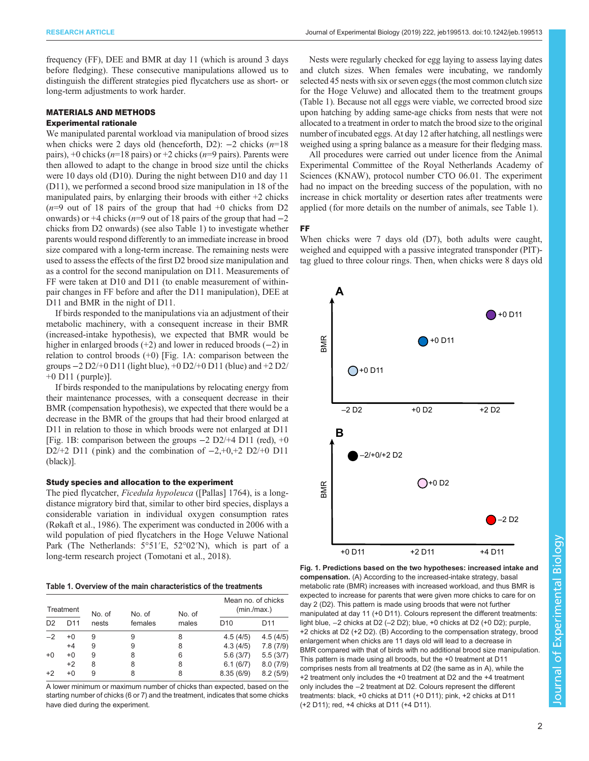frequency (FF), DEE and BMR at day 11 (which is around 3 days before fledging). These consecutive manipulations allowed us to distinguish the different strategies pied flycatchers use as short- or long-term adjustments to work harder.

# MATERIALS AND METHODS

## Experimental rationale

We manipulated parental workload via manipulation of brood sizes when chicks were 2 days old (henceforth, D2):  $-2$  chicks (n=18) pairs),  $+0$  chicks ( $n=18$  pairs) or  $+2$  chicks ( $n=9$  pairs). Parents were then allowed to adapt to the change in brood size until the chicks were 10 days old (D10). During the night between D10 and day 11 (D11), we performed a second brood size manipulation in 18 of the manipulated pairs, by enlarging their broods with either  $+2$  chicks  $(n=9)$  out of 18 pairs of the group that had  $+0$  chicks from D2 onwards) or +4 chicks ( $n=9$  out of 18 pairs of the group that had  $-2$ chicks from D2 onwards) (see also Table 1) to investigate whether parents would respond differently to an immediate increase in brood size compared with a long-term increase. The remaining nests were used to assess the effects of the first D2 brood size manipulation and as a control for the second manipulation on D11. Measurements of FF were taken at D10 and D11 (to enable measurement of withinpair changes in FF before and after the D11 manipulation), DEE at D11 and BMR in the night of D11.

If birds responded to the manipulations via an adjustment of their metabolic machinery, with a consequent increase in their BMR (increased-intake hypothesis), we expected that BMR would be higher in enlarged broods (+2) and lower in reduced broods (−2) in relation to control broods (+0) [Fig. 1A: comparison between the groups −2 D2/+0 D11 (light blue), +0 D2/+0 D11 (blue) and +2 D2/  $+0$  D11 ( purple)].

If birds responded to the manipulations by relocating energy from their maintenance processes, with a consequent decrease in their BMR (compensation hypothesis), we expected that there would be a decrease in the BMR of the groups that had their brood enlarged at D11 in relation to those in which broods were not enlarged at D11 [Fig. 1B: comparison between the groups −2 D2/+4 D11 (red), +0 D2/+2 D11 (pink) and the combination of  $-2, +0, +2$  D2/+0 D11 (black)].

#### Study species and allocation to the experiment

The pied flycatcher, Ficedula hypoleuca ([Pallas] 1764), is a longdistance migratory bird that, similar to other bird species, displays a considerable variation in individual oxygen consumption rates [\(Røkaft et al., 1986](#page-5-0)). The experiment was conducted in 2006 with a wild population of pied flycatchers in the Hoge Veluwe National Park (The Netherlands: 5°51′E, 52°02′N), which is part of a long-term research project [\(Tomotani et al., 2018](#page-5-0)).

Table 1. Overview of the main characteristics of the treatments

| Treatment      |                 | No. of | No. of  | No. of | Mean no. of chicks<br>(min/max.) |                 |
|----------------|-----------------|--------|---------|--------|----------------------------------|-----------------|
| D <sub>2</sub> | D <sub>11</sub> | nests  | females | males  | D <sub>10</sub>                  | D <sub>11</sub> |
| $-2$           | $+0$            | 9      | 9       | 8      | 4.5(4/5)                         | 4.5(4/5)        |
|                | $+4$            | 9      | 9       | 8      | 4.3(4/5)                         | 7.8(7/9)        |
| $+0$           | $+0$            | 9      | 8       | 6      | 5.6(3/7)                         | 5.5(3/7)        |
|                | $+2$            | 8      | 8       | 8      | 6.1(6/7)                         | 8.0(7/9)        |
| +2             | $+0$            | 9      | 8       | 8      | 8.35(6/9)                        | 8.2(5/9)        |

A lower minimum or maximum number of chicks than expected, based on the starting number of chicks (6 or 7) and the treatment, indicates that some chicks have died during the experiment.

Nests were regularly checked for egg laying to assess laying dates and clutch sizes. When females were incubating, we randomly selected 45 nests with six or seven eggs (the most common clutch size for the Hoge Veluwe) and allocated them to the treatment groups (Table 1). Because not all eggs were viable, we corrected brood size upon hatching by adding same-age chicks from nests that were not allocated to a treatment in order to match the brood size to the original number of incubated eggs. At day 12 after hatching, all nestlings were weighed using a spring balance as a measure for their fledging mass.

All procedures were carried out under licence from the Animal Experimental Committee of the Royal Netherlands Academy of Sciences (KNAW), protocol number CTO 06.01. The experiment had no impact on the breeding success of the population, with no increase in chick mortality or desertion rates after treatments were applied (for more details on the number of animals, see Table 1).

FF

When chicks were 7 days old (D7), both adults were caught, weighed and equipped with a passive integrated transponder (PIT) tag glued to three colour rings. Then, when chicks were 8 days old



Fig. 1. Predictions based on the two hypotheses: increased intake and compensation. (A) According to the increased-intake strategy, basal metabolic rate (BMR) increases with increased workload, and thus BMR is expected to increase for parents that were given more chicks to care for on day 2 (D2). This pattern is made using broods that were not further manipulated at day 11 (+0 D11). Colours represent the different treatments: light blue, −2 chicks at D2 (–2 D2); blue, +0 chicks at D2 (+0 D2); purple, +2 chicks at D2 (+2 D2). (B) According to the compensation strategy, brood enlargement when chicks are 11 days old will lead to a decrease in BMR compared with that of birds with no additional brood size manipulation. This pattern is made using all broods, but the +0 treatment at D11 comprises nests from all treatments at D2 (the same as in A), while the +2 treatment only includes the +0 treatment at D2 and the +4 treatment only includes the −2 treatment at D2. Colours represent the different treatments: black, +0 chicks at D11 (+0 D11); pink, +2 chicks at D11 (+2 D11); red, +4 chicks at D11 (+4 D11).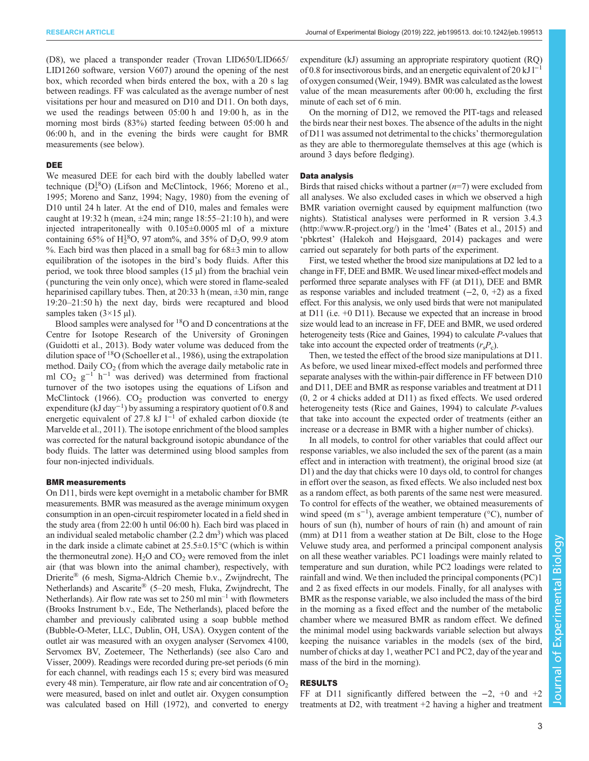(D8), we placed a transponder reader (Trovan LID650/LID665/ LID1260 software, version V607) around the opening of the nest box, which recorded when birds entered the box, with a 20 s lag between readings. FF was calculated as the average number of nest visitations per hour and measured on D10 and D11. On both days, we used the readings between 05:00 h and 19:00 h, as in the morning most birds (83%) started feeding between 05:00 h and 06:00 h, and in the evening the birds were caught for BMR measurements (see below).

#### DEE

We measured DEE for each bird with the doubly labelled water technique  $(D_2^{18}O)$  [\(Lifson and McClintock, 1966](#page-5-0); [Moreno et al.,](#page-5-0) [1995](#page-5-0); [Moreno and Sanz, 1994; Nagy, 1980\)](#page-5-0) from the evening of D10 until 24 h later. At the end of D10, males and females were caught at 19:32 h (mean,  $\pm 24$  min; range 18:55–21:10 h), and were injected intraperitoneally with 0.105±0.0005 ml of a mixture containing 65% of  $H_2^{18}O$ , 97 atom%, and 35% of D<sub>2</sub>O, 99.9 atom %. Each bird was then placed in a small bag for  $68\pm3$  min to allow equilibration of the isotopes in the bird's body fluids. After this period, we took three blood samples (15 µl) from the brachial vein ( puncturing the vein only once), which were stored in flame-sealed heparinised capillary tubes. Then, at 20:33 h (mean,  $\pm 30$  min, range 19:20–21:50 h) the next day, birds were recaptured and blood samples taken  $(3\times15 \text{ µ})$ .

Blood samples were analysed for 18O and D concentrations at the Centre for Isotope Research of the University of Groningen [\(Guidotti et al., 2013\)](#page-5-0). Body water volume was deduced from the dilution space of 18O [\(Schoeller et al., 1986](#page-5-0)), using the extrapolation method. Daily  $CO<sub>2</sub>$  (from which the average daily metabolic rate in ml CO<sub>2</sub> g<sup>-1</sup> h<sup>-1</sup> was derived) was determined from fractional turnover of the two isotopes using the equations of [Lifson and](#page-5-0) [McClintock \(1966\).](#page-5-0)  $CO<sub>2</sub>$  production was converted to energy expenditure (kJ day<sup>-1</sup>) by assuming a respiratory quotient of 0.8 and energetic equivalent of 27.8 kJ  $l^{-1}$  of exhaled carbon dioxide [\(te](#page-5-0) [Marvelde et al., 2011\)](#page-5-0). The isotope enrichment of the blood samples was corrected for the natural background isotopic abundance of the body fluids. The latter was determined using blood samples from four non-injected individuals.

#### BMR measurements

On D11, birds were kept overnight in a metabolic chamber for BMR measurements. BMR was measured as the average minimum oxygen consumption in an open-circuit respirometer located in a field shed in the study area (from 22:00 h until 06:00 h). Each bird was placed in an individual sealed metabolic chamber  $(2.2 \text{ dm}^3)$  which was placed in the dark inside a climate cabinet at 25.5±0.15°C (which is within the thermoneutral zone).  $H_2O$  and  $CO_2$  were removed from the inlet air (that was blown into the animal chamber), respectively, with Drierite® (6 mesh, Sigma-Aldrich Chemie b.v., Zwijndrecht, The Netherlands) and Ascarite® (5–20 mesh, Fluka, Zwijndrecht, The Netherlands). Air flow rate was set to  $250 \text{ ml min}^{-1}$  with flowmeters (Brooks Instrument b.v., Ede, The Netherlands), placed before the chamber and previously calibrated using a soap bubble method (Bubble-O-Meter, LLC, Dublin, OH, USA). Oxygen content of the outlet air was measured with an oxygen analyser (Servomex 4100, Servomex BV, Zoetemeer, The Netherlands) (see also [Caro and](#page-5-0) [Visser, 2009\)](#page-5-0). Readings were recorded during pre-set periods (6 min for each channel, with readings each 15 s; every bird was measured every 48 min). Temperature, air flow rate and air concentration of  $O<sub>2</sub>$ were measured, based on inlet and outlet air. Oxygen consumption was calculated based on [Hill \(1972\),](#page-5-0) and converted to energy

expenditure (kJ) assuming an appropriate respiratory quotient (RQ) of 0.8 for insectivorous birds, and an energetic equivalent of 20 kJ l<sup>−1</sup> of oxygen consumed [\(Weir, 1949\)](#page-5-0). BMR was calculated as the lowest value of the mean measurements after 00:00 h, excluding the first minute of each set of 6 min.

On the morning of D12, we removed the PIT-tags and released the birds near their nest boxes. The absence of the adults in the night of D11 was assumed not detrimental to the chicks' thermoregulation as they are able to thermoregulate themselves at this age (which is around 3 days before fledging).

### Data analysis

Birds that raised chicks without a partner  $(n=7)$  were excluded from all analyses. We also excluded cases in which we observed a high BMR variation overnight caused by equipment malfunction (two nights). Statistical analyses were performed in R version 3.4.3 [\(http://www.R-project.org/](http://www.R-project.org/)) in the 'lme4' ([Bates et al., 2015\)](#page-5-0) and 'pbkrtest' ([Halekoh and Højsgaard, 2014\)](#page-5-0) packages and were carried out separately for both parts of the experiment.

First, we tested whether the brood size manipulations at D2 led to a change in FF, DEE and BMR. We used linear mixed-effect models and performed three separate analyses with FF (at D11), DEE and BMR as response variables and included treatment (−2, 0, +2) as a fixed effect. For this analysis, we only used birds that were not manipulated at D11 (i.e. +0 D11). Because we expected that an increase in brood size would lead to an increase in FF, DEE and BMR, we used ordered heterogeneity tests [\(Rice and Gaines, 1994\)](#page-5-0) to calculate P-values that take into account the expected order of treatments  $(r_s P_c)$ .

Then, we tested the effect of the brood size manipulations at D11. As before, we used linear mixed-effect models and performed three separate analyses with the within-pair difference in FF between D10 and D11, DEE and BMR as response variables and treatment at D11 (0, 2 or 4 chicks added at D11) as fixed effects. We used ordered heterogeneity tests [\(Rice and Gaines, 1994\)](#page-5-0) to calculate P-values that take into account the expected order of treatments (either an increase or a decrease in BMR with a higher number of chicks).

In all models, to control for other variables that could affect our response variables, we also included the sex of the parent (as a main effect and in interaction with treatment), the original brood size (at D1) and the day that chicks were 10 days old, to control for changes in effort over the season, as fixed effects. We also included nest box as a random effect, as both parents of the same nest were measured. To control for effects of the weather, we obtained measurements of wind speed (m s<sup>-1</sup>), average ambient temperature (°C), number of hours of sun (h), number of hours of rain (h) and amount of rain (mm) at D11 from a weather station at De Bilt, close to the Hoge Veluwe study area, and performed a principal component analysis on all these weather variables. PC1 loadings were mainly related to temperature and sun duration, while PC2 loadings were related to rainfall and wind. We then included the principal components (PC)1 and 2 as fixed effects in our models. Finally, for all analyses with BMR as the response variable, we also included the mass of the bird in the morning as a fixed effect and the number of the metabolic chamber where we measured BMR as random effect. We defined the minimal model using backwards variable selection but always keeping the nuisance variables in the models (sex of the bird, number of chicks at day 1, weather PC1 and PC2, day of the year and mass of the bird in the morning).

# RESULTS

FF at D11 significantly differed between the −2, +0 and +2 treatments at D2, with treatment +2 having a higher and treatment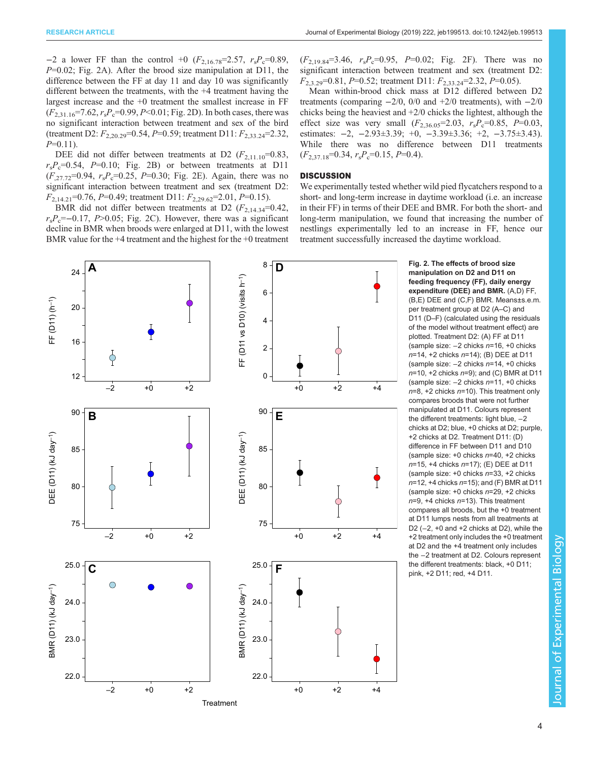−2 a lower FF than the control +0 ( $F_{2,16,78}$ =2.57,  $r_sP_c$ =0.89,  $P=0.02$ ; Fig. 2A). After the brood size manipulation at D11, the difference between the FF at day 11 and day 10 was significantly different between the treatments, with the +4 treatment having the largest increase and the +0 treatment the smallest increase in FF  $(F_{2,31.16} = 7.62, r_s P_c = 0.99, P < 0.01$ ; Fig. 2D). In both cases, there was no significant interaction between treatment and sex of the bird (treatment D2:  $F_{2,20.29}=0.54, P=0.59$ ; treatment D11:  $F_{2,33.24}=2.32,$  $P=0.11$ ).

DEE did not differ between treatments at D2  $(F_{2,11.10}=0.83,$  $r_sP_c=0.54$ ,  $P=0.10$ ; Fig. 2B) or between treatments at D11  $(F_{.27.72}=0.94, r_sP_c=0.25, P=0.30;$  Fig. 2E). Again, there was no significant interaction between treatment and sex (treatment D2:  $F_{2,14,21}$ =0.76, P=0.49; treatment D11:  $F_{2,29.62}$ =2.01, P=0.15).

BMR did not differ between treatments at D2  $(F_{2,14,34}=0.42,$  $r_sP_c=-0.17$ , P>0.05; Fig. 2C). However, there was a significant decline in BMR when broods were enlarged at D11, with the lowest BMR value for the +4 treatment and the highest for the +0 treatment  $(F_{2,19.84}=3.46, r_sP_c=0.95, P=0.02; Fig. 2F)$ . There was no significant interaction between treatment and sex (treatment D2:  $F_{2,3,29}=0.81, P=0.52$ ; treatment D11:  $F_{2,33,24}=2.32, P=0.05$ ).

Mean within-brood chick mass at D12 differed between D2 treatments (comparing  $-2/0$ , 0/0 and  $+2/0$  treatments), with  $-2/0$ chicks being the heaviest and +2/0 chicks the lightest, although the effect size was very small  $(F_{2,36.05} = 2.03, r_s P_c = 0.85, P = 0.03,$ estimates: −2, −2.93±3.39; +0, −3.39±3.36; +2, −3.75±3.43). While there was no difference between D11 treatments  $(F_{2,37.18}=0.34, r_sP_c=0.15, P=0.4).$ 

# **DISCUSSION**

We experimentally tested whether wild pied flycatchers respond to a short- and long-term increase in daytime workload (i.e. an increase in their FF) in terms of their DEE and BMR. For both the short- and long-term manipulation, we found that increasing the number of nestlings experimentally led to an increase in FF, hence our treatment successfully increased the daytime workload.



Fig. 2. The effects of brood size manipulation on D2 and D11 on feeding frequency (FF), daily energy expenditure (DEE) and BMR. (A,D) FF, (B,E) DEE and (C,F) BMR. Means±s.e.m. per treatment group at D2 (A–C) and D11 (D–F) (calculated using the residuals of the model without treatment effect) are plotted. Treatment D2: (A) FF at D11 (sample size: −2 chicks n=16, +0 chicks n=14, +2 chicks n=14); (B) DEE at D11 (sample size: −2 chicks n=14, +0 chicks  $n=10$ , +2 chicks  $n=9$ ); and (C) BMR at D11 (sample size: −2 chicks n=11, +0 chicks  $n=8$ , +2 chicks  $n=10$ ). This treatment only compares broods that were not further manipulated at D11. Colours represent the different treatments: light blue, −2 chicks at D2; blue, +0 chicks at D2; purple, +2 chicks at D2. Treatment D11: (D) difference in FF between D11 and D10 (sample size:  $+0$  chicks  $n=40$ ,  $+2$  chicks n=15, +4 chicks n=17); (E) DEE at D11 (sample size:  $+0$  chicks  $n=33, +2$  chicks  $n=12$ , +4 chicks  $n=15$ ); and (F) BMR at D11 (sample size:  $+0$  chicks  $n=29$ ,  $+2$  chicks  $n=9$ , +4 chicks  $n=13$ ). This treatment compares all broods, but the +0 treatment at D11 lumps nests from all treatments at D2 (−2, +0 and +2 chicks at D2), while the +2 treatment only includes the +0 treatment at D2 and the +4 treatment only includes the −2 treatment at D2. Colours represent the different treatments: black, +0 D11; pink, +2 D11; red, +4 D11.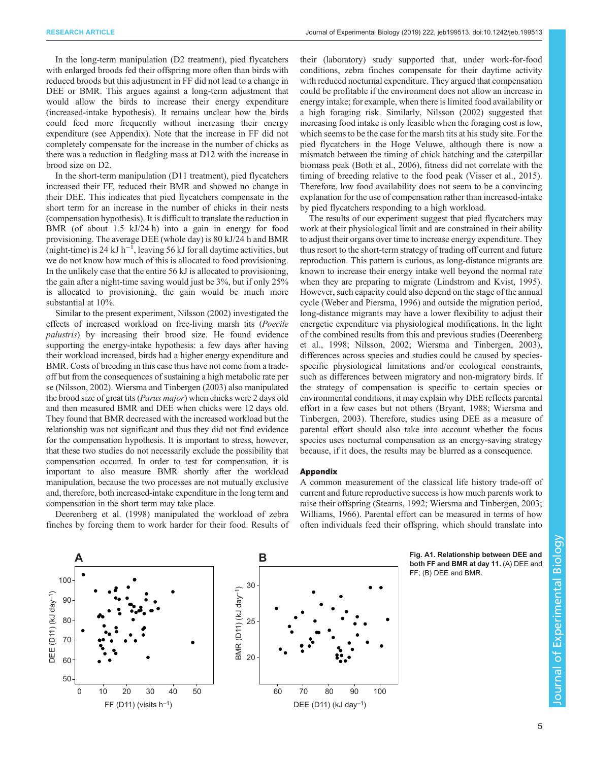<span id="page-4-0"></span>In the long-term manipulation (D2 treatment), pied flycatchers with enlarged broods fed their offspring more often than birds with reduced broods but this adjustment in FF did not lead to a change in DEE or BMR. This argues against a long-term adjustment that would allow the birds to increase their energy expenditure (increased-intake hypothesis). It remains unclear how the birds could feed more frequently without increasing their energy expenditure (see Appendix). Note that the increase in FF did not completely compensate for the increase in the number of chicks as there was a reduction in fledgling mass at D12 with the increase in brood size on D2.

In the short-term manipulation (D11 treatment), pied flycatchers increased their FF, reduced their BMR and showed no change in their DEE. This indicates that pied flycatchers compensate in the short term for an increase in the number of chicks in their nests (compensation hypothesis). It is difficult to translate the reduction in BMR (of about 1.5 kJ/24 h) into a gain in energy for food provisioning. The average DEE (whole day) is 80 kJ/24 h and BMR (night-time) is 24 kJ h<sup>-1</sup>, leaving 56 kJ for all daytime activities, but we do not know how much of this is allocated to food provisioning. In the unlikely case that the entire 56 kJ is allocated to provisioning, the gain after a night-time saving would just be 3%, but if only 25% is allocated to provisioning, the gain would be much more substantial at 10%.

Similar to the present experiment, [Nilsson \(2002\)](#page-5-0) investigated the effects of increased workload on free-living marsh tits (Poecile palustris) by increasing their brood size. He found evidence supporting the energy-intake hypothesis: a few days after having their workload increased, birds had a higher energy expenditure and BMR. Costs of breeding in this case thus have not come from a tradeoff but from the consequences of sustaining a high metabolic rate per se ([Nilsson, 2002](#page-5-0)). [Wiersma and Tinbergen \(2003\)](#page-5-0) also manipulated the brood size of great tits (Parus major) when chicks were 2 days old and then measured BMR and DEE when chicks were 12 days old. They found that BMR decreased with the increased workload but the relationship was not significant and thus they did not find evidence for the compensation hypothesis. It is important to stress, however, that these two studies do not necessarily exclude the possibility that compensation occurred. In order to test for compensation, it is important to also measure BMR shortly after the workload manipulation, because the two processes are not mutually exclusive and, therefore, both increased-intake expenditure in the long term and compensation in the short term may take place.

[Deerenberg et al. \(1998\)](#page-5-0) manipulated the workload of zebra finches by forcing them to work harder for their food. Results of their (laboratory) study supported that, under work-for-food conditions, zebra finches compensate for their daytime activity with reduced nocturnal expenditure. They argued that compensation could be profitable if the environment does not allow an increase in energy intake; for example, when there is limited food availability or a high foraging risk. Similarly, [Nilsson \(2002\)](#page-5-0) suggested that increasing food intake is only feasible when the foraging cost is low, which seems to be the case for the marsh tits at his study site. For the pied flycatchers in the Hoge Veluwe, although there is now a mismatch between the timing of chick hatching and the caterpillar biomass peak [\(Both et al., 2006](#page-5-0)), fitness did not correlate with the timing of breeding relative to the food peak ([Visser et al., 2015\)](#page-5-0). Therefore, low food availability does not seem to be a convincing explanation for the use of compensation rather than increased-intake by pied flycatchers responding to a high workload.

The results of our experiment suggest that pied flycatchers may work at their physiological limit and are constrained in their ability to adjust their organs over time to increase energy expenditure. They thus resort to the short-term strategy of trading off current and future reproduction. This pattern is curious, as long-distance migrants are known to increase their energy intake well beyond the normal rate when they are preparing to migrate [\(Lindstrom and Kvist, 1995\)](#page-5-0). However, such capacity could also depend on the stage of the annual cycle [\(Weber and Piersma, 1996](#page-5-0)) and outside the migration period, long-distance migrants may have a lower flexibility to adjust their energetic expenditure via physiological modifications. In the light of the combined results from this and previous studies [\(Deerenberg](#page-5-0) [et al., 1998; Nilsson, 2002](#page-5-0); [Wiersma and Tinbergen, 2003\)](#page-5-0), differences across species and studies could be caused by speciesspecific physiological limitations and/or ecological constraints, such as differences between migratory and non-migratory birds. If the strategy of compensation is specific to certain species or environmental conditions, it may explain why DEE reflects parental effort in a few cases but not others [\(Bryant, 1988; Wiersma and](#page-5-0) [Tinbergen, 2003\)](#page-5-0). Therefore, studies using DEE as a measure of parental effort should also take into account whether the focus species uses nocturnal compensation as an energy-saving strategy because, if it does, the results may be blurred as a consequence.

## Appendix

A common measurement of the classical life history trade-off of current and future reproductive success is how much parents work to raise their offspring ([Stearns, 1992](#page-5-0); [Wiersma and Tinbergen, 2003](#page-5-0); [Williams, 1966\)](#page-5-0). Parental effort can be measured in terms of how often individuals feed their offspring, which should translate into





Fig. A1. Relationship between DEE and both FF and BMR at day 11. (A) DEE and FF; (B) DEE and BMR.